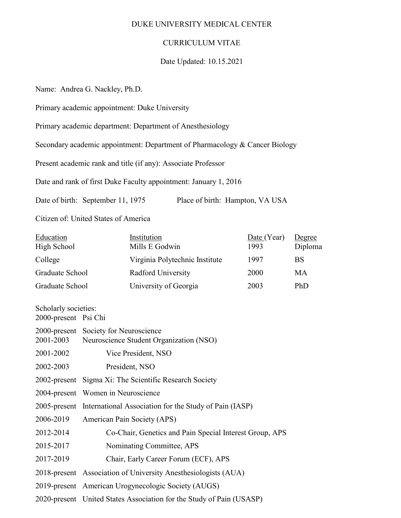#### DUKE UNIVERSITY MEDICAL CENTER

### CURRICULUM VITAE

#### Date Updated: 10.15.2021

Name: Andrea G. Nackley, Ph.D.

Primary academic appointment: Duke University

Primary academic department: Department of Anesthesiology

Secondary academic appointment: Department of Pharmacology & Cancer Biology

Present academic rank and title (if any): Associate Professor

Date and rank of first Duke Faculty appointment: January 1, 2016

Date of birth: September 11, 1975 Place of birth: Hampton, VA USA

Citizen of: United States of America

| Education<br>High School                     |                                                                     | Institution<br>Mills E Godwin                                        | Date (Year)<br>1993 | Degree<br>Diploma |
|----------------------------------------------|---------------------------------------------------------------------|----------------------------------------------------------------------|---------------------|-------------------|
| College                                      |                                                                     | Virginia Polytechnic Institute                                       | 1997                | <b>BS</b>         |
| Graduate School                              |                                                                     | Radford University                                                   | 2000                | MA                |
| Graduate School                              |                                                                     | University of Georgia                                                | 2003                | PhD               |
| Scholarly societies:<br>2000-present Psi Chi |                                                                     |                                                                      |                     |                   |
| 2001-2003                                    | 2000-present Society for Neuroscience                               | Neuroscience Student Organization (NSO)                              |                     |                   |
| 2001-2002                                    | Vice President, NSO                                                 |                                                                      |                     |                   |
| 2002-2003                                    | President, NSO                                                      |                                                                      |                     |                   |
|                                              | 2002-present Sigma Xi: The Scientific Research Society              |                                                                      |                     |                   |
|                                              | 2004-present Women in Neuroscience                                  |                                                                      |                     |                   |
|                                              | 2005-present International Association for the Study of Pain (IASP) |                                                                      |                     |                   |
| 2006-2019                                    | American Pain Society (APS)                                         |                                                                      |                     |                   |
| 2012-2014                                    |                                                                     | Co-Chair, Genetics and Pain Special Interest Group, APS              |                     |                   |
| 2015-2017                                    | Nominating Committee, APS                                           |                                                                      |                     |                   |
| 2017-2019                                    |                                                                     | Chair, Early Career Forum (ECF), APS                                 |                     |                   |
|                                              |                                                                     | 2018-present Association of University Anesthesiologists (AUA)       |                     |                   |
|                                              |                                                                     | 2019-present American Urogynecologic Society (AUGS)                  |                     |                   |
|                                              |                                                                     | 2020-present United States Association for the Study of Pain (USASP) |                     |                   |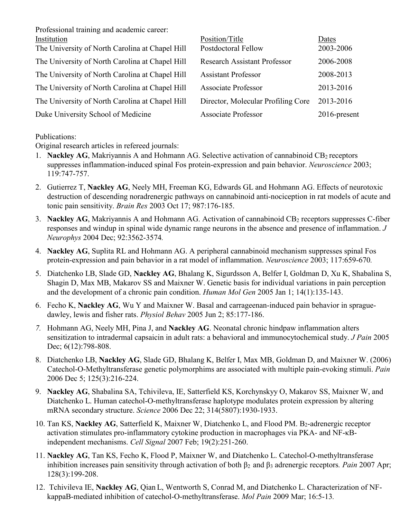Professional training and academic career:

| Institution                                     | Position/Title                      | Dates        |
|-------------------------------------------------|-------------------------------------|--------------|
| The University of North Carolina at Chapel Hill | Postdoctoral Fellow                 | 2003-2006    |
| The University of North Carolina at Chapel Hill | <b>Research Assistant Professor</b> | 2006-2008    |
| The University of North Carolina at Chapel Hill | <b>Assistant Professor</b>          | 2008-2013    |
| The University of North Carolina at Chapel Hill | <b>Associate Professor</b>          | 2013-2016    |
| The University of North Carolina at Chapel Hill | Director, Molecular Profiling Core  | 2013-2016    |
| Duke University School of Medicine              | <b>Associate Professor</b>          | 2016-present |

Publications:

Original research articles in refereed journals:

- 1. **Nackley AG**, Makriyannis A and Hohmann AG. Selective activation of cannabinoid CB<sub>2</sub> receptors suppresses inflammation-induced spinal Fos protein-expression and pain behavior. *Neuroscience* 2003; 119:747-757.
- 2. Gutierrez T, **Nackley AG**, Neely MH, Freeman KG, Edwards GL and Hohmann AG. Effects of neurotoxic destruction of descending noradrenergic pathways on cannabinoid anti-nociception in rat models of acute and tonic pain sensitivity. *Brain Res* 2003 Oct 17; 987:176-185.
- 3. **Nackley AG**, Makriyannis A and Hohmann AG. Activation of cannabinoid CB<sub>2</sub> receptors suppresses C-fiber responses and windup in spinal wide dynamic range neurons in the absence and presence of inflammation. *J Neurophys* 2004 Dec; 92:3562-3574*.*
- 4. **Nackley AG**, Suplita RL and Hohmann AG. A peripheral cannabinoid mechanism suppresses spinal Fos protein-expression and pain behavior in a rat model of inflammation. *Neuroscience* 2003; 117:659-670*.*
- 5. Diatchenko LB, Slade GD, **Nackley AG**, Bhalang K, Sigurdsson A, Belfer I, Goldman D, Xu K, Shabalina S, Shagin D, Max MB, Makarov SS and Maixner W. Genetic basis for individual variations in pain perception and the development of a chronic pain condition. *Human Mol Gen* 2005 Jan 1; 14(1):135-143.
- 6. Fecho K, **Nackley AG**, Wu Y and Maixner W. Basal and carrageenan-induced pain behavior in spraguedawley, lewis and fisher rats. *Physiol Behav* 2005 Jun 2; 85:177-186.
- *7.* Hohmann AG, Neely MH, Pina J, and **Nackley AG**. Neonatal chronic hindpaw inflammation alters sensitization to intradermal capsaicin in adult rats: a behavioral and immunocytochemical study. *J Pain* 2005 Dec; 6(12):798-808.
- 8. Diatchenko LB, **Nackley AG**, Slade GD, Bhalang K, Belfer I, Max MB, Goldman D, and Maixner W. (2006) Catechol-O-Methyltransferase genetic polymorphims are associated with multiple pain-evoking stimuli. *Pain* 2006 Dec 5; 125(3):216-224.
- 9. **Nackley AG**, Shabalina SA, Tchivileva, IE, Satterfield KS, Korchynskyy O, Makarov SS, Maixner W, and Diatchenko L. Human catechol-O-methyltransferase haplotype modulates protein expression by altering mRNA secondary structure. *Science* 2006 Dec 22; 314(5807):1930-1933.
- 10. Tan KS, Nackley AG, Satterfield K, Maixner W, Diatchenko L, and Flood PM. B<sub>2</sub>-adrenergic receptor activation stimulates pro-inflammatory cytokine production in macrophages via PKA- and NF-κBindependent mechanisms. *Cell Signal* 2007 Feb; 19(2):251-260.
- 11. **Nackley AG**, Tan KS, Fecho K, Flood P, Maixner W, and Diatchenko L. Catechol-O-methyltransferase inhibition increases pain sensitivity through activation of both β2 and β<sup>3</sup> adrenergic receptors*. Pain* 2007 Apr; 128(3):199-208.
- 12. Tchivileva IE, **Nackley AG**, Qian L, Wentworth S, Conrad M, and Diatchenko L. Characterization of NFkappaB-mediated inhibition of catechol-O-methyltransferase. *Mol Pain* 2009 Mar; 16:5-13*.*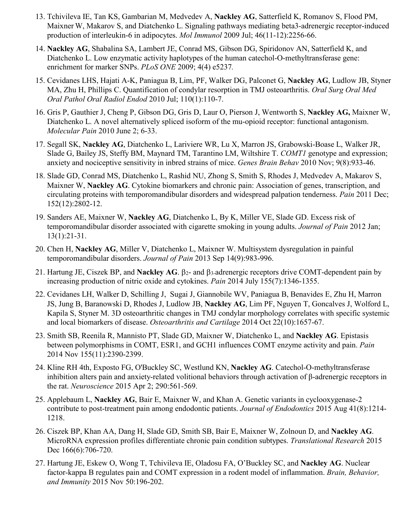- 13. Tchivileva IE, Tan KS, Gambarian M, Medvedev A, **Nackley AG**, Satterfield K, Romanov S, Flood PM, Maixner W, Makarov S, and Diatchenko L. Signaling pathways mediating beta3-adrenergic receptor-induced production of interleukin-6 in adipocytes. *Mol Immunol* 2009 Jul; 46(11-12):2256-66.
- 14. **Nackley AG**, Shabalina SA, Lambert JE, Conrad MS, Gibson DG, Spiridonov AN, Satterfield K, and Diatchenko L. Low enzymatic activity haplotypes of the human catechol-O-methyltransferase gene: enrichment for marker SNPs. *PLoS ONE* 2009; 4(4) e5237*.*
- 15. Cevidanes LHS, Hajati A-K, Paniagua B, Lim, PF, Walker DG, Palconet G, **Nackley AG**, Ludlow JB, Styner MA, Zhu H, Phillips C. Quantification of condylar resorption in TMJ osteoarthritis. *Oral Surg Oral Med Oral Pathol Oral Radiol Endod* 2010 Jul; 110(1):110-7.
- 16. Gris P, Gauthier J, Cheng P, Gibson DG, Gris D, Laur O, Pierson J, Wentworth S, **Nackley AG,** Maixner W, Diatchenko L. A novel alternatively spliced isoform of the mu-opioid receptor: functional antagonism. *Molecular Pain* 2010 June 2; 6-33.
- 17. Segall SK, **Nackley AG**, Diatchenko L, Lariviere WR, Lu X, Marron JS, Grabowski-Boase L, Walker JR, Slade G, Bailey JS, Steffy BM, Maynard TM, Tarantino LM, Wiltshire T. *COMT1* genotype and expression; anxiety and nociceptive sensitivity in inbred strains of mice. *Genes Brain Behav* 2010 Nov; 9(8):933-46.
- 18. Slade GD, Conrad MS, Diatchenko L, Rashid NU, Zhong S, Smith S, Rhodes J, Medvedev A, Makarov S, Maixner W, **Nackley AG**. Cytokine biomarkers and chronic pain: Association of genes, transcription, and circulating proteins with temporomandibular disorders and widespread palpation tenderness. *Pain* 2011 Dec; 152(12):2802-12.
- 19. Sanders AE, Maixner W, **Nackley AG**, Diatchenko L, By K, Miller VE, Slade GD. Excess risk of temporomandibular disorder associated with cigarette smoking in young adults. *Journal of Pain* 2012 Jan; 13(1):21-31.
- 20. Chen H, **Nackley AG**, Miller V, Diatchenko L, Maixner W. Multisystem dysregulation in painful temporomandibular disorders. *Journal of Pain* 2013 Sep 14(9):983-996.
- 21. Hartung JE, Ciszek BP, and **Nackley AG**. β2- and β3-adrenergic receptors drive COMT-dependent pain by increasing production of nitric oxide and cytokines. *Pain* 2014 July 155(7):1346-1355.
- 22. Cevidanes LH, Walker D, Schilling J, Sugai J, Giannobile WV, Paniagua B, Benavides E, Zhu H, Marron JS, Jung B, Baranowski D, Rhodes J, Ludlow JB, **Nackley AG**, Lim PF, Nguyen T, Goncalves J, Wolford L, Kapila S, Styner M. 3D osteoarthritic changes in TMJ condylar morphology correlates with specific systemic and local biomarkers of disease. *Osteoarthritis and Cartilage* 2014 Oct 22(10):1657-67.
- 23. Smith SB, Reenila R, Mannisto PT, Slade GD, Maixner W, Diatchenko L, and **Nackley AG**. Epistasis between polymorphisms in COMT, ESR1, and GCH1 influences COMT enzyme activity and pain. *Pain* 2014 Nov 155(11):2390-2399.
- 24. Kline RH 4th, Exposto FG, O'Buckley SC, Westlund KN, **Nackley AG**. Catechol-O-methyltransferase inhibition alters pain and anxiety-related volitional behaviors through activation of β-adrenergic receptors in the rat. *Neuroscience* 2015 Apr 2; 290:561-569.
- 25. Applebaum L, **Nackley AG**, Bair E, Maixner W, and Khan A. Genetic variants in cyclooxygenase-2 contribute to post-treatment pain among endodontic patients. *Journal of Endodontics* 2015 Aug 41(8):1214- 1218.
- 26. Ciszek BP, Khan AA, Dang H, Slade GD, Smith SB, Bair E, Maixner W, Zolnoun D, and **Nackley AG**. MicroRNA expression profiles differentiate chronic pain condition subtypes. *Translational Research* 2015 Dec 166(6):706-720.
- 27. Hartung JE, Eskew O, Wong T, Tchivileva IE, Oladosu FA, O'Buckley SC, and **Nackley AG**. Nuclear factor-kappa B regulates pain and COMT expression in a rodent model of inflammation. *Brain, Behavior, and Immunity* 2015 Nov 50:196-202.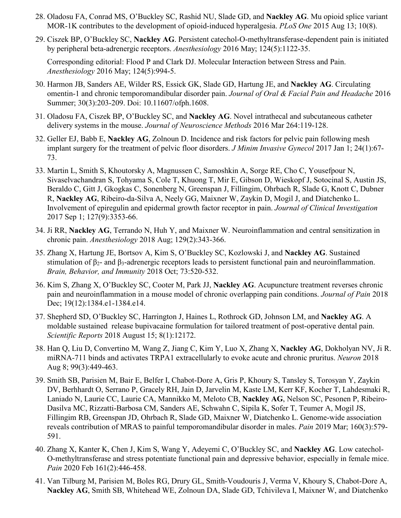- 28. Oladosu FA, Conrad MS, O'Buckley SC, Rashid NU, Slade GD, and **Nackley AG**. Mu opioid splice variant MOR-1K contributes to the development of opioid-induced hyperalgesia. *PLoS One* 2015 Aug 13; 10(8).
- 29. Ciszek BP, O'Buckley SC, **Nackley AG**. Persistent catechol-O-methyltransferase-dependent pain is initiated by peripheral beta-adrenergic receptors. *Anesthesiology* 2016 May; 124(5):1122-35.

Corresponding editorial: Flood P and Clark DJ. Molecular Interaction between Stress and Pain. *Anesthesiology* 2016 May; 124(5):994-5.

- 30. Harmon JB, Sanders AE, Wilder RS, Essick GK, Slade GD, Hartung JE, and **Nackley AG**. Circulating omentin-1 and chronic temporomandibular disorder pain. *Journal of Oral & Facial Pain and Headache* 2016 Summer; 30(3):203-209. Doi: 10.11607/ofph.1608.
- 31. Oladosu FA, Ciszek BP, O'Buckley SC, and **Nackley AG**. Novel intrathecal and subcutaneous catheter delivery systems in the mouse. *Journal of Neuroscience Methods* 2016 Mar 264:119-128.
- 32. Geller EJ, Babb E, **Nackley AG**, Zolnoun D. Incidence and risk factors for pelvic pain following mesh implant surgery for the treatment of pelvic floor disorders. *J Minim Invasive Gynecol* 2017 Jan 1; 24(1):67- 73.
- 33. Martin L, Smith S, Khoutorsky A, Magnussen C, Samoshkin A, Sorge RE, Cho C, Yousefpour N, Sivaselvachandran S, Tohyama S, Cole T, Khuong T, Mir E, Gibson D, Wieskopf J, Sotocinal S, Austin JS, Beraldo C, Gitt J, Gkogkas C, Sonenberg N, Greenspan J, Fillingim, Ohrbach R, Slade G, Knott C, Dubner R, **Nackley AG**, Ribeiro-da-Silva A, Neely GG, Maixner W, Zaykin D, Mogil J, and Diatchenko L. Involvement of epiregulin and epidermal growth factor receptor in pain. *Journal of Clinical Investigation* 2017 Sep 1; 127(9):3353-66.
- 34. Ji RR, **Nackley AG**, Terrando N, Huh Y, and Maixner W. Neuroinflammation and central sensitization in chronic pain. *Anesthesiology* 2018 Aug; 129(2):343-366.
- 35. Zhang X, Hartung JE, Bortsov A, Kim S, O'Buckley SC, Kozlowski J, and **Nackley AG**. Sustained stimulation of β<sub>2</sub>- and β<sub>3</sub>-adrenergic receptors leads to persistent functional pain and neuroinflammation. *Brain, Behavior, and Immunity* 2018 Oct; 73:520-532.
- 36. Kim S, Zhang X, O'Buckley SC, Cooter M, Park JJ, **Nackley AG**. Acupuncture treatment reverses chronic pain and neuroinflammation in a mouse model of chronic overlapping pain conditions. *Journal of Pain* 2018 Dec; 19(12):1384.e1-1384.e14.
- 37. Shepherd SD, O'Buckley SC, Harrington J, Haines L, Rothrock GD, Johnson LM, and **Nackley AG**. A moldable sustained release bupivacaine formulation for tailored treatment of post-operative dental pain. *Scientific Reports* 2018 August 15; 8(1):12172.
- 38. Han Q, Liu D, Convertino M, Wang Z, Jiang C, Kim Y, Luo X, Zhang X, **Nackley AG**, Dokholyan NV, Ji R. miRNA-711 binds and activates TRPA1 extracellularly to evoke acute and chronic pruritus. *Neuron* 2018 Aug 8; 99(3):449-463.
- 39. Smith SB, Parisien M, Bair E, Belfer I, Chabot-Dore A, Gris P, Khoury S, Tansley S, Torosyan Y, Zaykin DV, Berhhardt O, Serrano P, Gracely RH, Jain D, Jarvelin M, Kaste LM, Kerr KF, Kocher T, Lahdesmaki R, Laniado N, Laurie CC, Laurie CA, Mannikko M, Meloto CB, **Nackley AG**, Nelson SC, Pesonen P, Ribeiro-Dasilva MC, Rizzatti-Barbosa CM, Sanders AE, Schwahn C, Sipila K, Sofer T, Teumer A, Mogil JS, Fillingim RB, Greenspan JD, Ohrbach R, Slade GD, Maixner W, Diatchenko L. Genome-wide association reveals contribution of MRAS to painful temporomandibular disorder in males. *Pain* 2019 Mar; 160(3):579- 591.
- 40. Zhang X, Kanter K, Chen J, Kim S, Wang Y, Adeyemi C, O'Buckley SC, and **Nackley AG**. Low catechol-O-methyltransferase and stress potentiate functional pain and depressive behavior, especially in female mice. *Pain* 2020 Feb 161(2):446-458.
- 41. Van Tilburg M, Parisien M, Boles RG, Drury GL, Smith-Voudouris J, Verma V, Khoury S, Chabot-Dore A, **Nackley AG**, Smith SB, Whitehead WE, Zolnoun DA, Slade GD, Tchivileva I, Maixner W, and Diatchenko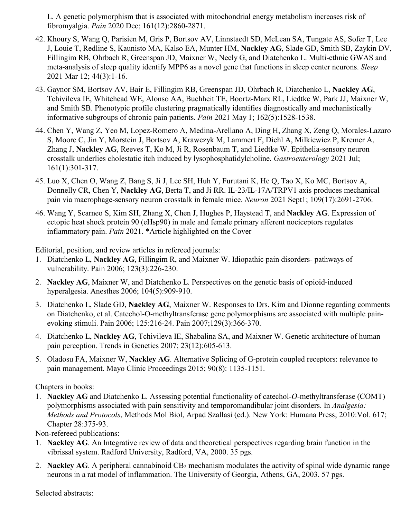L. A genetic polymorphism that is associated with mitochondrial energy metabolism increases risk of fibromyalgia. *Pain* 2020 Dec; 161(12):2860-2871.

- 42. Khoury S, Wang Q, Parisien M, Gris P, Bortsov AV, Linnstaedt SD, McLean SA, Tungate AS, Sofer T, Lee J, Louie T, Redline S, Kaunisto MA, Kalso EA, Munter HM, **Nackley AG**, Slade GD, Smith SB, Zaykin DV, Fillingim RB, Ohrbach R, Greenspan JD, Maixner W, Neely G, and Diatchenko L. Multi-ethnic GWAS and meta-analysis of sleep quality identify MPP6 as a novel gene that functions in sleep center neurons. *Sleep* 2021 Mar 12; 44(3):1-16.
- 43. Gaynor SM, Bortsov AV, Bair E, Fillingim RB, Greenspan JD, Ohrbach R, Diatchenko L, **Nackley AG**, Tchivileva IE, Whitehead WE, Alonso AA, Buchheit TE, Boortz-Marx RL, Liedtke W, Park JJ, Maixner W, and Smith SB. Phenotypic profile clustering pragmatically identifies diagnostically and mechanistically informative subgroups of chronic pain patients. *Pain* 2021 May 1; 162(5):1528-1538.
- 44. Chen Y, Wang Z, Yeo M, Lopez-Romero A, Medina-Arellano A, Ding H, Zhang X, Zeng Q, Morales-Lazaro S, Moore C, Jin Y, Morstein J, Bortsov A, Krawczyk M, Lammert F, Diehl A, Milkiewicz P, Kremer A, Zhang J, **Nackley AG**, Reeves T, Ko M, Ji R, Rosenbaum T, and Liedtke W. Epithelia-sensory neuron crosstalk underlies cholestatic itch induced by lysophosphatidylcholine. *Gastroenterology* 2021 Jul; 161(1):301-317.
- 45. Luo X, Chen O, Wang Z, Bang S, Ji J, Lee SH, Huh Y, Furutani K, He Q, Tao X, Ko MC, Bortsov A, Donnelly CR, Chen Y, **Nackley AG**, Berta T, and Ji RR. IL-23/IL-17A/TRPV1 axis produces mechanical pain via macrophage-sensory neuron crosstalk in female mice. *Neuron* 2021 Sept1; 109(17):2691-2706.
- 46. Wang Y, Scarneo S, Kim SH, Zhang X, Chen J, Hughes P, Haystead T, and **Nackley AG**. Expression of ectopic heat shock protein 90 (eHsp90) in male and female primary afferent nociceptors regulates inflammatory pain. *Pain* 2021. \*Article highlighted on the Cover

Editorial, position, and review articles in refereed journals:

- 1. Diatchenko L, **Nackley AG**, Fillingim R, and Maixner W. Idiopathic pain disorders- pathways of vulnerability. Pain 2006; 123(3):226-230.
- 2. **Nackley AG**, Maixner W, and Diatchenko L. Perspectives on the genetic basis of opioid-induced hyperalgesia. Anesthes 2006; 104(5):909-910.
- 3. Diatchenko L, Slade GD, **Nackley AG**, Maixner W. Responses to Drs. Kim and Dionne regarding comments on Diatchenko, et al. Catechol-O-methyltransferase gene polymorphisms are associated with multiple painevoking stimuli. Pain 2006; 125:216-24. Pain 2007;129(3):366-370.
- 4. Diatchenko L, **Nackley AG**, Tchivileva IE, Shabalina SA, and Maixner W. Genetic architecture of human pain perception. Trends in Genetics 2007; 23(12):605-613.
- 5. Oladosu FA, Maixner W, **Nackley AG**. Alternative Splicing of G-protein coupled receptors: relevance to pain management. Mayo Clinic Proceedings 2015; 90(8): 1135-1151.

Chapters in books:

1. **Nackley AG** and Diatchenko L. Assessing potential functionality of catechol-*O*-methyltransferase (COMT) polymorphisms associated with pain sensitivity and temporomandibular joint disorders. In *Analgesia: Methods and Protocols*, Methods Mol Biol, Arpad Szallasi (ed.). New York: Humana Press; 2010:Vol. 617; Chapter 28:375-93.

Non-refereed publications:

- 1. **Nackley AG**. An Integrative review of data and theoretical perspectives regarding brain function in the vibrissal system. Radford University, Radford, VA, 2000. 35 pgs.
- 2. **Nackley AG**. A peripheral cannabinoid CB2 mechanism modulates the activity of spinal wide dynamic range neurons in a rat model of inflammation. The University of Georgia, Athens, GA, 2003. 57 pgs.

Selected abstracts: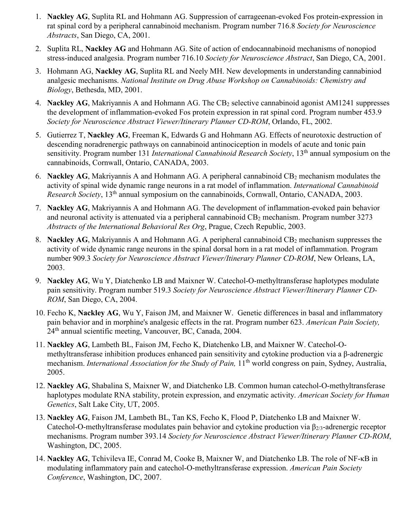- 1. **Nackley AG**, Suplita RL and Hohmann AG. Suppression of carrageenan-evoked Fos protein-expression in rat spinal cord by a peripheral cannabinoid mechanism. Program number 716.8 *Society for Neuroscience Abstracts*, San Diego, CA, 2001.
- 2. Suplita RL, **Nackley AG** and Hohmann AG. Site of action of endocannabinoid mechanisms of nonopiod stress-induced analgesia. Program number 716.10 *Society for Neuroscience Abstract*, San Diego, CA, 2001.
- 3. Hohmann AG, **Nackley AG**, Suplita RL and Neely MH. New developments in understanding cannabiniod analgesic mechanisms. *National Institute on Drug Abuse Workshop on Cannabinoids: Chemistry and Biology*, Bethesda, MD, 2001.
- 4. **Nackley AG**, Makriyannis A and Hohmann AG. The CB<sub>2</sub> selective cannabinoid agonist AM1241 suppresses the development of inflammation-evoked Fos protein expression in rat spinal cord. Program number 453.9 *Society for Neuroscience Abstract Viewer/Itinerary Planner CD-ROM*, Orlando, FL, 2002.
- 5. Gutierrez T, **Nackley AG**, Freeman K, Edwards G and Hohmann AG. Effects of neurotoxic destruction of descending noradrenergic pathways on cannabinoid antinociception in models of acute and tonic pain sensitivity. Program number 131 *International Cannabinoid Research Society*, 13<sup>th</sup> annual symposium on the cannabinoids, Cornwall, Ontario, CANADA, 2003.
- 6. **Nackley AG**, Makriyannis A and Hohmann AG. A peripheral cannabinoid CB2 mechanism modulates the activity of spinal wide dynamic range neurons in a rat model of inflammation. *International Cannabinoid Research Society*, 13th annual symposium on the cannabinoids, Cornwall, Ontario, CANADA, 2003.
- 7. **Nackley AG**, Makriyannis A and Hohmann AG. The development of inflammation-evoked pain behavior and neuronal activity is attenuated via a peripheral cannabinoid CB<sub>2</sub> mechanism. Program number 3273 *Abstracts of the International Behavioral Res Org*, Prague, Czech Republic, 2003.
- 8. **Nackley AG**, Makriyannis A and Hohmann AG. A peripheral cannabinoid CB<sub>2</sub> mechanism suppresses the activity of wide dynamic range neurons in the spinal dorsal horn in a rat model of inflammation. Program number 909.3 *Society for Neuroscience Abstract Viewer/Itinerary Planner CD-ROM*, New Orleans, LA, 2003.
- 9. **Nackley AG**, Wu Y, Diatchenko LB and Maixner W. Catechol-O-methyltransferase haplotypes modulate pain sensitivity. Program number 519.3 *Society for Neuroscience Abstract Viewer/Itinerary Planner CD-ROM*, San Diego, CA, 2004.
- 10. Fecho K, **Nackley AG**, Wu Y, Faison JM, and Maixner W. Genetic differences in basal and inflammatory pain behavior and in morphine's analgesic effects in the rat. Program number 623. *American Pain Society,*  24th annual scientific meeting, Vancouver, BC, Canada, 2004.
- 11. **Nackley AG**, Lambeth BL, Faison JM, Fecho K, Diatchenko LB, and Maixner W. Catechol-Omethyltransferase inhibition produces enhanced pain sensitivity and cytokine production via a β-adrenergic mechanism. *International Association for the Study of Pain,* 11th world congress on pain, Sydney, Australia, 2005.
- 12. **Nackley AG**, Shabalina S, Maixner W, and Diatchenko LB. Common human catechol-O-methyltransferase haplotypes modulate RNA stability, protein expression, and enzymatic activity. *American Society for Human Genetics*, Salt Lake City, UT, 2005.
- 13. **Nackley AG**, Faison JM, Lambeth BL, Tan KS, Fecho K, Flood P, Diatchenko LB and Maixner W. Catechol-O-methyltransferase modulates pain behavior and cytokine production via  $\beta_{2/3}$ -adrenergic receptor mechanisms. Program number 393.14 *Society for Neuroscience Abstract Viewer/Itinerary Planner CD-ROM*, Washington, DC, 2005.
- 14. **Nackley AG**, Tchivileva IE, Conrad M, Cooke B, Maixner W, and Diatchenko LB. The role of NF-κB in modulating inflammatory pain and catechol-O-methyltransferase expression. *American Pain Society Conference*, Washington, DC, 2007.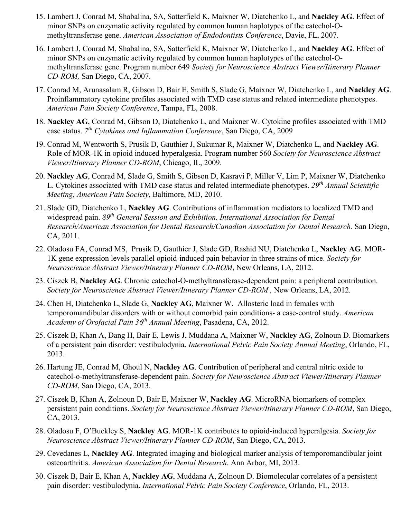- 15. Lambert J, Conrad M, Shabalina, SA, Satterfield K, Maixner W, Diatchenko L, and **Nackley AG**. Effect of minor SNPs on enzymatic activity regulated by common human haplotypes of the catechol-Omethyltransferase gene. *American Association of Endodontists Conference*, Davie, FL, 2007.
- 16. Lambert J, Conrad M, Shabalina, SA, Satterfield K, Maixner W, Diatchenko L, and **Nackley AG**. Effect of minor SNPs on enzymatic activity regulated by common human haplotypes of the catechol-Omethyltransferase gene. Program number 649 *Society for Neuroscience Abstract Viewer/Itinerary Planner CD-ROM,* San Diego, CA, 2007.
- 17. Conrad M, Arunasalam R, Gibson D, Bair E, Smith S, Slade G, Maixner W, Diatchenko L, and **Nackley AG**. Proinflammatory cytokine profiles associated with TMD case status and related intermediate phenotypes. *American Pain Society Conference*, Tampa, FL, 2008.
- 18. **Nackley AG**, Conrad M, Gibson D, Diatchenko L, and Maixner W. Cytokine profiles associated with TMD case status. *7th Cytokines and Inflammation Conference*, San Diego, CA, 2009
- 19. Conrad M, Wentworth S, Prusik D, Gauthier J, Sukumar R, Maixner W, Diatchenko L, and **Nackley AG**. Role of MOR-1K in opioid induced hyperalgesia. Program number 560 *Society for Neuroscience Abstract Viewer/Itinerary Planner CD-ROM*, Chicago, IL, 2009.
- 20. **Nackley AG**, Conrad M, Slade G, Smith S, Gibson D, Kasravi P, Miller V, Lim P, Maixner W, Diatchenko L. Cytokines associated with TMD case status and related intermediate phenotypes. *29th Annual Scientific Meeting, American Pain Society*, Baltimore, MD, 2010.
- 21. Slade GD, Diatchenko L, **Nackley AG**. Contributions of inflammation mediators to localized TMD and widespread pain. *89th General Session and Exhibition, International Association for Dental Research/American Association for Dental Research/Canadian Association for Dental Research.* San Diego, CA, 2011*.*
- 22. Oladosu FA, Conrad MS, Prusik D, Gauthier J, Slade GD, Rashid NU, Diatchenko L, **Nackley AG**. MOR-1K gene expression levels parallel opioid-induced pain behavior in three strains of mice. *Society for Neuroscience Abstract Viewer/Itinerary Planner CD-ROM*, New Orleans, LA, 2012.
- 23. Ciszek B, **Nackley AG**. Chronic catechol-O-methyltransferase-dependent pain: a peripheral contribution. *Society for Neuroscience Abstract Viewer/Itinerary Planner CD-ROM ,* New Orleans, LA, 2012*.*
- 24. Chen H, Diatchenko L, Slade G, **Nackley AG**, Maixner W. Allosteric load in females with temporomandibular disorders with or without comorbid pain conditions- a case-control study. *American Academy of Orofacial Pain 36th Annual Meeting*, Pasadena, CA, 2012.
- 25. Ciszek B, Khan A, Dang H, Bair E, Lewis J, Muddana A, Maixner W, **Nackley AG**, Zolnoun D. Biomarkers of a persistent pain disorder: vestibulodynia. *International Pelvic Pain Society Annual Meeting*, Orlando, FL, 2013.
- 26. Hartung JE, Conrad M, Ghoul N, **Nackley AG**. Contribution of peripheral and central nitric oxide to catechol-o-methyltransferase-dependent pain. *Society for Neuroscience Abstract Viewer/Itinerary Planner CD-ROM*, San Diego, CA, 2013.
- 27. Ciszek B, Khan A, Zolnoun D, Bair E, Maixner W, **Nackley AG**. MicroRNA biomarkers of complex persistent pain conditions. *Society for Neuroscience Abstract Viewer/Itinerary Planner CD-ROM*, San Diego, CA, 2013.
- 28. Oladosu F, O'Buckley S, **Nackley AG**. MOR-1K contributes to opioid-induced hyperalgesia. *Society for Neuroscience Abstract Viewer/Itinerary Planner CD-ROM*, San Diego, CA, 2013.
- 29. Cevedanes L, **Nackley AG**. Integrated imaging and biological marker analysis of temporomandibular joint osteoarthritis. *American Association for Dental Research*. Ann Arbor, MI, 2013.
- 30. Ciszek B, Bair E, Khan A, **Nackley AG**, Muddana A, Zolnoun D. Biomolecular correlates of a persistent pain disorder: vestibulodynia. *International Pelvic Pain Society Conference*, Orlando, FL, 2013.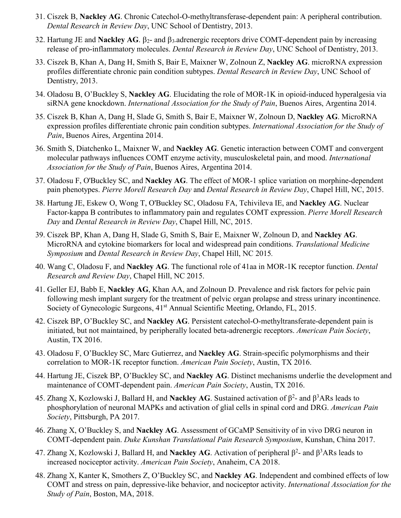- 31. Ciszek B, **Nackley AG**. Chronic Catechol-O-methyltransferase-dependent pain: A peripheral contribution. *Dental Research in Review Day*, UNC School of Dentistry, 2013.
- 32. Hartung JE and **Nackley AG**. β2- and β3-adrenergic receptors drive COMT-dependent pain by increasing release of pro-inflammatory molecules. *Dental Research in Review Day*, UNC School of Dentistry, 2013.
- 33. Ciszek B, Khan A, Dang H, Smith S, Bair E, Maixner W, Zolnoun Z, **Nackley AG**. microRNA expression profiles differentiate chronic pain condition subtypes. *Dental Research in Review Day*, UNC School of Dentistry, 2013.
- 34. Oladosu B, O'Buckley S, **Nackley AG**. Elucidating the role of MOR-1K in opioid-induced hyperalgesia via siRNA gene knockdown. *International Association for the Study of Pain*, Buenos Aires, Argentina 2014.
- 35. Ciszek B, Khan A, Dang H, Slade G, Smith S, Bair E, Maixner W, Zolnoun D, **Nackley AG**. MicroRNA expression profiles differentiate chronic pain condition subtypes. *International Association for the Study of Pain*, Buenos Aires, Argentina 2014.
- 36. Smith S, Diatchenko L, Maixner W, and **Nackley AG**. Genetic interaction between COMT and convergent molecular pathways influences COMT enzyme activity, musculoskeletal pain, and mood. *International Association for the Study of Pain*, Buenos Aires, Argentina 2014.
- 37. Oladosu F, O'Buckley SC, and **Nackley AG**. The effect of MOR-1 splice variation on morphine-dependent pain phenotypes. *Pierre Morell Research Day* and *Dental Research in Review Day*, Chapel Hill, NC, 2015.
- 38. Hartung JE, Eskew O, Wong T, O'Buckley SC, Oladosu FA, Tchivileva IE, and **Nackley AG**. Nuclear Factor-kappa B contributes to inflammatory pain and regulates COMT expression. *Pierre Morell Research Day* and *Dental Research in Review Day*, Chapel Hill, NC, 2015.
- 39. Ciszek BP, Khan A, Dang H, Slade G, Smith S, Bair E, Maixner W, Zolnoun D, and **Nackley AG**. MicroRNA and cytokine biomarkers for local and widespread pain conditions. *Translational Medicine Symposium* and *Dental Research in Review Day*, Chapel Hill, NC 2015*.*
- 40. Wang C, Oladosu F, and **Nackley AG**. The functional role of 41aa in MOR-1K receptor function. *Dental Research and Review Day*, Chapel Hill, NC 2015.
- 41. Geller EJ, Babb E, **Nackley AG**, Khan AA, and Zolnoun D. Prevalence and risk factors for pelvic pain following mesh implant surgery for the treatment of pelvic organ prolapse and stress urinary incontinence. Society of Gynecologic Surgeons,  $41<sup>st</sup>$  Annual Scientific Meeting, Orlando, FL, 2015.
- 42. Ciszek BP, O'Buckley SC, and **Nackley AG**. Persistent catechol-O-methyltransferate-dependent pain is initiated, but not maintained, by peripherally located beta-adrenergic receptors. *American Pain Society*, Austin, TX 2016.
- 43. Oladosu F, O'Buckley SC, Marc Gutierrez, and **Nackley AG**. Strain-specific polymorphisms and their correlation to MOR-1K receptor function. *American Pain Society*, Austin, TX 2016.
- 44. Hartung JE, Ciszek BP, O'Buckley SC, and **Nackley AG**. Distinct mechanisms underlie the development and maintenance of COMT-dependent pain. *American Pain Society*, Austin, TX 2016.
- 45. Zhang X, Kozlowski J, Ballard H, and **Nackley AG**. Sustained activation of  $\beta^2$  and  $\beta^3$ ARs leads to phosphorylation of neuronal MAPKs and activation of glial cells in spinal cord and DRG. *American Pain Society*, Pittsburgh, PA 2017.
- 46. Zhang X, O'Buckley S, and **Nackley AG**. Assessment of GCaMP Sensitivity of in vivo DRG neuron in COMT-dependent pain. *Duke Kunshan Translational Pain Research Symposium*, Kunshan, China 2017.
- 47. Zhang X, Kozlowski J, Ballard H, and **Nackley AG**. Activation of peripheral  $β^2$  and  $β^3ARs$  leads to increased nociceptor activity. *American Pain Society*, Anaheim, CA 2018.
- 48. Zhang X, Kanter K, Smothers Z, O'Buckley SC, and **Nackley AG**. Independent and combined effects of low COMT and stress on pain, depressive-like behavior, and nociceptor activity. *International Association for the Study of Pain*, Boston, MA, 2018.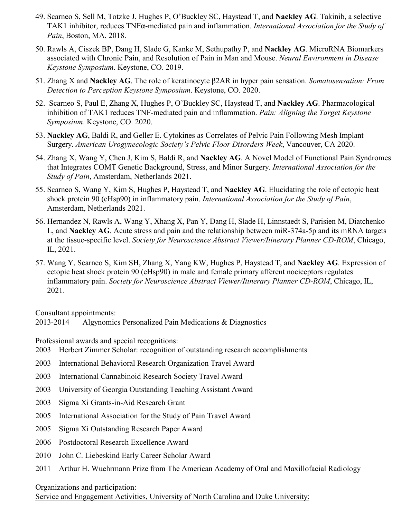- 49. Scarneo S, Sell M, Totzke J, Hughes P, O'Buckley SC, Haystead T, and **Nackley AG**. Takinib, a selective TAK1 inhibitor, reduces TNFα-mediated pain and inflammation. *International Association for the Study of Pain*, Boston, MA, 2018.
- 50. Rawls A, Ciszek BP, Dang H, Slade G, Kanke M, Sethupathy P, and **Nackley AG**. MicroRNA Biomarkers associated with Chronic Pain, and Resolution of Pain in Man and Mouse. *Neural Environment in Disease Keystone Symposium*. Keystone, CO. 2019.
- 51. Zhang X and **Nackley AG**. The role of keratinocyte β2AR in hyper pain sensation. *Somatosensation: From Detection to Perception Keystone Symposium*. Keystone, CO. 2020.
- 52. Scarneo S, Paul E, Zhang X, Hughes P, O'Buckley SC, Haystead T, and **Nackley AG**. Pharmacological inhibition of TAK1 reduces TNF-mediated pain and inflammation. *Pain: Aligning the Target Keystone Symposium*. Keystone, CO. 2020.
- 53. **Nackley AG**, Baldi R, and Geller E. Cytokines as Correlates of Pelvic Pain Following Mesh Implant Surgery. *American Urogynecologic Society's Pelvic Floor Disorders Week*, Vancouver, CA 2020.
- 54. Zhang X, Wang Y, Chen J, Kim S, Baldi R, and **Nackley AG**. A Novel Model of Functional Pain Syndromes that Integrates COMT Genetic Background, Stress, and Minor Surgery. *International Association for the Study of Pain*, Amsterdam, Netherlands 2021.
- 55. Scarneo S, Wang Y, Kim S, Hughes P, Haystead T, and **Nackley AG**. Elucidating the role of ectopic heat shock protein 90 (eHsp90) in inflammatory pain. *International Association for the Study of Pain*, Amsterdam, Netherlands 2021.
- 56. Hernandez N, Rawls A, Wang Y, Xhang X, Pan Y, Dang H, Slade H, Linnstaedt S, Parisien M, Diatchenko L, and **Nackley AG**. Acute stress and pain and the relationship between miR-374a-5p and its mRNA targets at the tissue-specific level. *Society for Neuroscience Abstract Viewer/Itinerary Planner CD-ROM*, Chicago, IL, 2021.
- 57. Wang Y, Scarneo S, Kim SH, Zhang X, Yang KW, Hughes P, Haystead T, and **Nackley AG**. Expression of ectopic heat shock protein 90 (eHsp90) in male and female primary afferent nociceptors regulates inflammatory pain. *Society for Neuroscience Abstract Viewer/Itinerary Planner CD-ROM*, Chicago, IL, 2021.

Consultant appointments:

2013-2014 Algynomics Personalized Pain Medications & Diagnostics

Professional awards and special recognitions:

- 2003 Herbert Zimmer Scholar: recognition of outstanding research accomplishments
- 2003 International Behavioral Research Organization Travel Award
- 2003 International Cannabinoid Research Society Travel Award
- 2003 University of Georgia Outstanding Teaching Assistant Award
- 2003 Sigma Xi Grants-in-Aid Research Grant
- 2005 International Association for the Study of Pain Travel Award
- 2005 Sigma Xi Outstanding Research Paper Award
- 2006 Postdoctoral Research Excellence Award
- 2010 John C. Liebeskind Early Career Scholar Award
- 2011 Arthur H. Wuehrmann Prize from The American Academy of Oral and Maxillofacial Radiology

Organizations and participation:

Service and Engagement Activities, University of North Carolina and Duke University: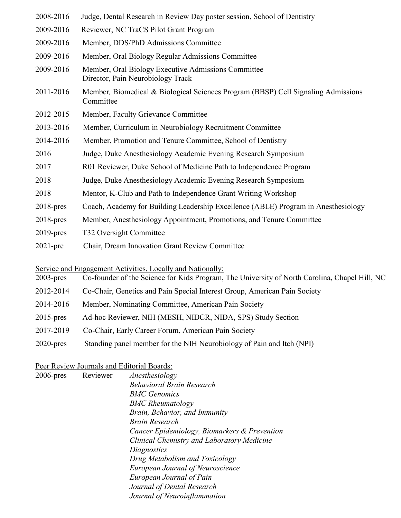| 2008-2016    | Judge, Dental Research in Review Day poster session, School of Dentistry                       |
|--------------|------------------------------------------------------------------------------------------------|
| 2009-2016    | Reviewer, NC TraCS Pilot Grant Program                                                         |
| 2009-2016    | Member, DDS/PhD Admissions Committee                                                           |
| 2009-2016    | Member, Oral Biology Regular Admissions Committee                                              |
| 2009-2016    | Member, Oral Biology Executive Admissions Committee<br>Director, Pain Neurobiology Track       |
| 2011-2016    | Member, Biomedical & Biological Sciences Program (BBSP) Cell Signaling Admissions<br>Committee |
| 2012-2015    | Member, Faculty Grievance Committee                                                            |
| 2013-2016    | Member, Curriculum in Neurobiology Recruitment Committee                                       |
| 2014-2016    | Member, Promotion and Tenure Committee, School of Dentistry                                    |
| 2016         | Judge, Duke Anesthesiology Academic Evening Research Symposium                                 |
| 2017         | R01 Reviewer, Duke School of Medicine Path to Independence Program                             |
| 2018         | Judge, Duke Anesthesiology Academic Evening Research Symposium                                 |
| 2018         | Mentor, K-Club and Path to Independence Grant Writing Workshop                                 |
| $2018$ -pres | Coach, Academy for Building Leadership Excellence (ABLE) Program in Anesthesiology             |
| $2018$ -pres | Member, Anesthesiology Appointment, Promotions, and Tenure Committee                           |
| $2019$ -pres | T32 Oversight Committee                                                                        |
| $2021$ -pre  | Chair, Dream Innovation Grant Review Committee                                                 |

Service and Engagement Activities, Locally and Nationally:

| $2003$ -pres | Co-founder of the Science for Kids Program, The University of North Carolina, Chapel Hill, NC |  |  |
|--------------|-----------------------------------------------------------------------------------------------|--|--|
|              |                                                                                               |  |  |

- 2012-2014 Co-Chair, Genetics and Pain Special Interest Group, American Pain Society
- 2014-2016 Member, Nominating Committee, American Pain Society
- 2015-pres Ad-hoc Reviewer, NIH (MESH, NIDCR, NIDA, SPS) Study Section
- 2017-2019 Co-Chair, Early Career Forum, American Pain Society
- 2020-pres Standing panel member for the NIH Neurobiology of Pain and Itch (NPI)

### Peer Review Journals and Editorial Boards:

| $2006$ -pres | $Reviewer -$ | Anesthesiology                               |
|--------------|--------------|----------------------------------------------|
|              |              | Behavioral Brain Research                    |
|              |              | <b>BMC</b> Genomics                          |
|              |              | <b>BMC</b> Rheumatology                      |
|              |              | Brain, Behavior, and Immunity                |
|              |              | Brain Research                               |
|              |              | Cancer Epidemiology, Biomarkers & Prevention |
|              |              | Clinical Chemistry and Laboratory Medicine   |
|              |              | Diagnostics                                  |
|              |              | Drug Metabolism and Toxicology               |
|              |              | <b>European Journal of Neuroscience</b>      |
|              |              | European Journal of Pain                     |
|              |              | Journal of Dental Research                   |
|              |              | Journal of Neuroinflammation                 |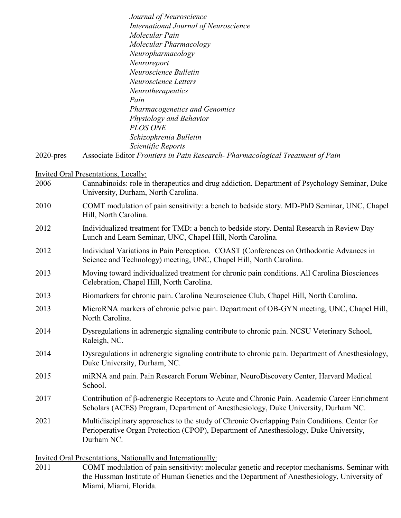|              | Journal of Neuroscience                                                                                                                                                                             |
|--------------|-----------------------------------------------------------------------------------------------------------------------------------------------------------------------------------------------------|
|              | <b>International Journal of Neuroscience</b>                                                                                                                                                        |
|              | Molecular Pain                                                                                                                                                                                      |
|              | Molecular Pharmacology                                                                                                                                                                              |
|              | Neuropharmacology                                                                                                                                                                                   |
|              | Neuroreport                                                                                                                                                                                         |
|              | Neuroscience Bulletin                                                                                                                                                                               |
|              | Neuroscience Letters                                                                                                                                                                                |
|              | Neurotherapeutics                                                                                                                                                                                   |
|              | Pain                                                                                                                                                                                                |
|              | Pharmacogenetics and Genomics                                                                                                                                                                       |
|              | Physiology and Behavior                                                                                                                                                                             |
|              | <b>PLOS ONE</b>                                                                                                                                                                                     |
|              | Schizophrenia Bulletin                                                                                                                                                                              |
|              | Scientific Reports                                                                                                                                                                                  |
| $2020$ -pres | Associate Editor Frontiers in Pain Research- Pharmacological Treatment of Pain                                                                                                                      |
|              | <b>Invited Oral Presentations, Locally:</b>                                                                                                                                                         |
| 2006         | Cannabinoids: role in therapeutics and drug addiction. Department of Psychology Seminar, Duke                                                                                                       |
|              | University, Durham, North Carolina.                                                                                                                                                                 |
| 2010         | COMT modulation of pain sensitivity: a bench to bedside story. MD-PhD Seminar, UNC, Chapel                                                                                                          |
|              | Hill, North Carolina.                                                                                                                                                                               |
| 2012         | Individualized treatment for TMD: a bench to bedside story. Dental Research in Review Day<br>Lunch and Learn Seminar, UNC, Chapel Hill, North Carolina.                                             |
|              |                                                                                                                                                                                                     |
| 2012         | Individual Variations in Pain Perception. COAST (Conferences on Orthodontic Advances in                                                                                                             |
|              | Science and Technology) meeting, UNC, Chapel Hill, North Carolina.                                                                                                                                  |
| 2013         | Moving toward individualized treatment for chronic pain conditions. All Carolina Biosciences<br>Celebration, Chapel Hill, North Carolina.                                                           |
| 2013         | Biomarkers for chronic pain. Carolina Neuroscience Club, Chapel Hill, North Carolina.                                                                                                               |
| 2013         | MicroRNA markers of chronic pelvic pain. Department of OB-GYN meeting, UNC, Chapel Hill,                                                                                                            |
|              | North Carolina.                                                                                                                                                                                     |
| 2014         | Dysregulations in adrenergic signaling contribute to chronic pain. NCSU Veterinary School,                                                                                                          |
|              | Raleigh, NC.                                                                                                                                                                                        |
| 2014         | Dysregulations in adrenergic signaling contribute to chronic pain. Department of Anesthesiology,                                                                                                    |
|              | Duke University, Durham, NC.                                                                                                                                                                        |
| 2015         | miRNA and pain. Pain Research Forum Webinar, NeuroDiscovery Center, Harvard Medical                                                                                                                 |
|              | School.                                                                                                                                                                                             |
| 2017         | Contribution of β-adrenergic Receptors to Acute and Chronic Pain. Academic Career Enrichment<br>Scholars (ACES) Program, Department of Anesthesiology, Duke University, Durham NC.                  |
| 2021         | Multidisciplinary approaches to the study of Chronic Overlapping Pain Conditions. Center for<br>Perioperative Organ Protection (CPOP), Department of Anesthesiology, Duke University,<br>Durham NC. |

Invited Oral Presentations, Nationally and Internationally:

2011 COMT modulation of pain sensitivity: molecular genetic and receptor mechanisms. Seminar with the Hussman Institute of Human Genetics and the Department of Anesthesiology, University of Miami, Miami, Florida.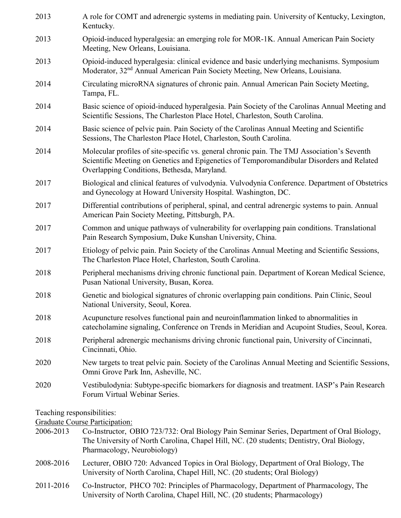| 2013 | A role for COMT and adrenergic systems in mediating pain. University of Kentucky, Lexington,<br>Kentucky.                                                                                                                               |
|------|-----------------------------------------------------------------------------------------------------------------------------------------------------------------------------------------------------------------------------------------|
| 2013 | Opioid-induced hyperalgesia: an emerging role for MOR-1K. Annual American Pain Society<br>Meeting, New Orleans, Louisiana.                                                                                                              |
| 2013 | Opioid-induced hyperalgesia: clinical evidence and basic underlying mechanisms. Symposium<br>Moderator, 32 <sup>nd</sup> Annual American Pain Society Meeting, New Orleans, Louisiana.                                                  |
| 2014 | Circulating microRNA signatures of chronic pain. Annual American Pain Society Meeting,<br>Tampa, FL.                                                                                                                                    |
| 2014 | Basic science of opioid-induced hyperalgesia. Pain Society of the Carolinas Annual Meeting and<br>Scientific Sessions, The Charleston Place Hotel, Charleston, South Carolina.                                                          |
| 2014 | Basic science of pelvic pain. Pain Society of the Carolinas Annual Meeting and Scientific<br>Sessions, The Charleston Place Hotel, Charleston, South Carolina.                                                                          |
| 2014 | Molecular profiles of site-specific vs. general chronic pain. The TMJ Association's Seventh<br>Scientific Meeting on Genetics and Epigenetics of Temporomandibular Disorders and Related<br>Overlapping Conditions, Bethesda, Maryland. |
| 2017 | Biological and clinical features of vulvodynia. Vulvodynia Conference. Department of Obstetrics<br>and Gynecology at Howard University Hospital. Washington, DC.                                                                        |
| 2017 | Differential contributions of peripheral, spinal, and central adrenergic systems to pain. Annual<br>American Pain Society Meeting, Pittsburgh, PA.                                                                                      |
| 2017 | Common and unique pathways of vulnerability for overlapping pain conditions. Translational<br>Pain Research Symposium, Duke Kunshan University, China.                                                                                  |
| 2017 | Etiology of pelvic pain. Pain Society of the Carolinas Annual Meeting and Scientific Sessions,<br>The Charleston Place Hotel, Charleston, South Carolina.                                                                               |
| 2018 | Peripheral mechanisms driving chronic functional pain. Department of Korean Medical Science,<br>Pusan National University, Busan, Korea.                                                                                                |
| 2018 | Genetic and biological signatures of chronic overlapping pain conditions. Pain Clinic, Seoul<br>National University, Seoul, Korea.                                                                                                      |
| 2018 | Acupuncture resolves functional pain and neuroinflammation linked to abnormalities in<br>catecholamine signaling, Conference on Trends in Meridian and Acupoint Studies, Seoul, Korea.                                                  |
| 2018 | Peripheral adrenergic mechanisms driving chronic functional pain, University of Cincinnati,<br>Cincinnati, Ohio.                                                                                                                        |
| 2020 | New targets to treat pelvic pain. Society of the Carolinas Annual Meeting and Scientific Sessions,<br>Omni Grove Park Inn, Asheville, NC.                                                                                               |
| 2020 | Vestibulodynia: Subtype-specific biomarkers for diagnosis and treatment. IASP's Pain Research<br>Forum Virtual Webinar Series.                                                                                                          |
|      |                                                                                                                                                                                                                                         |

Teaching responsibilities:

Graduate Course Participation:

- 2006-2013 Co-Instructor, OBIO 723/732: Oral Biology Pain Seminar Series, Department of Oral Biology, The University of North Carolina, Chapel Hill, NC. (20 students; Dentistry, Oral Biology, Pharmacology, Neurobiology)
- 2008-2016 Lecturer, OBIO 720: Advanced Topics in Oral Biology, Department of Oral Biology, The University of North Carolina, Chapel Hill, NC. (20 students; Oral Biology)
- 2011-2016 Co-Instructor, PHCO 702: Principles of Pharmacology, Department of Pharmacology, The University of North Carolina, Chapel Hill, NC. (20 students; Pharmacology)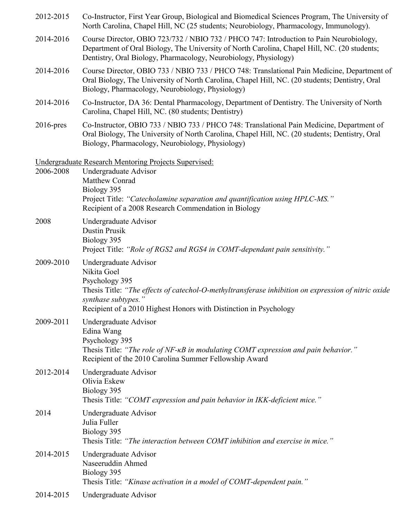| 2012-2015    | Co-Instructor, First Year Group, Biological and Biomedical Sciences Program, The University of<br>North Carolina, Chapel Hill, NC (25 students; Neurobiology, Pharmacology, Immunology).                                                                    |  |
|--------------|-------------------------------------------------------------------------------------------------------------------------------------------------------------------------------------------------------------------------------------------------------------|--|
| 2014-2016    | Course Director, OBIO 723/732 / NBIO 732 / PHCO 747: Introduction to Pain Neurobiology,<br>Department of Oral Biology, The University of North Carolina, Chapel Hill, NC. (20 students;<br>Dentistry, Oral Biology, Pharmacology, Neurobiology, Physiology) |  |
| 2014-2016    | Course Director, OBIO 733 / NBIO 733 / PHCO 748: Translational Pain Medicine, Department of<br>Oral Biology, The University of North Carolina, Chapel Hill, NC. (20 students; Dentistry, Oral<br>Biology, Pharmacology, Neurobiology, Physiology)           |  |
| 2014-2016    | Co-Instructor, DA 36: Dental Pharmacology, Department of Dentistry. The University of North<br>Carolina, Chapel Hill, NC. (80 students; Dentistry)                                                                                                          |  |
| $2016$ -pres | Co-Instructor, OBIO 733 / NBIO 733 / PHCO 748: Translational Pain Medicine, Department of<br>Oral Biology, The University of North Carolina, Chapel Hill, NC. (20 students; Dentistry, Oral<br>Biology, Pharmacology, Neurobiology, Physiology)             |  |
| 2006-2008    | Undergraduate Research Mentoring Projects Supervised:<br>Undergraduate Advisor<br>Matthew Conrad<br>Biology 395<br>Project Title: "Catecholamine separation and quantification using HPLC-MS."<br>Recipient of a 2008 Research Commendation in Biology      |  |
| 2008         | Undergraduate Advisor<br>Dustin Prusik<br>Biology 395<br>Project Title: "Role of RGS2 and RGS4 in COMT-dependant pain sensitivity."                                                                                                                         |  |
| 2009-2010    | Undergraduate Advisor<br>Nikita Goel<br>Psychology 395<br>Thesis Title: "The effects of catechol-O-methyltransferase inhibition on expression of nitric oxide<br>synthase subtypes."<br>Recipient of a 2010 Highest Honors with Distinction in Psychology   |  |
| 2009-2011    | Undergraduate Advisor<br>Edina Wang<br>Psychology 395<br>Thesis Title: "The role of NF-KB in modulating COMT expression and pain behavior."<br>Recipient of the 2010 Carolina Summer Fellowship Award                                                       |  |
| 2012-2014    | Undergraduate Advisor<br>Olivia Eskew<br>Biology 395<br>Thesis Title: "COMT expression and pain behavior in IKK-deficient mice."                                                                                                                            |  |
| 2014         | Undergraduate Advisor<br>Julia Fuller<br>Biology 395<br>Thesis Title: "The interaction between COMT inhibition and exercise in mice."                                                                                                                       |  |
| 2014-2015    | Undergraduate Advisor<br>Naseeruddin Ahmed<br>Biology 395<br>Thesis Title: "Kinase activation in a model of COMT-dependent pain."                                                                                                                           |  |
| 2014-2015    | Undergraduate Advisor                                                                                                                                                                                                                                       |  |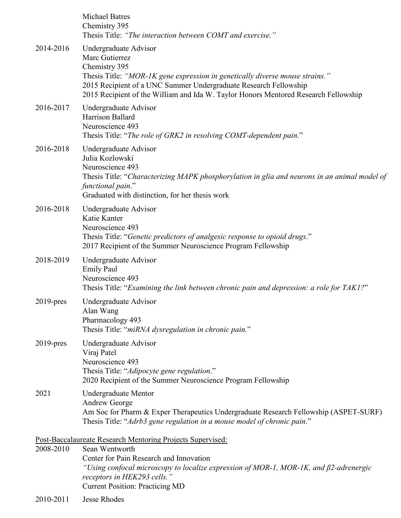|              | Center for Pain Research and Innovation<br>"Using confocal microscopy to localize expression of MOR-1, MOR-1K, and $\beta$ 2-adrenergic                                                                                                                                                             |
|--------------|-----------------------------------------------------------------------------------------------------------------------------------------------------------------------------------------------------------------------------------------------------------------------------------------------------|
| 2008-2010    | Post-Baccalaureate Research Mentoring Projects Supervised:<br>Sean Wentworth                                                                                                                                                                                                                        |
| 2021         | <b>Undergraduate Mentor</b><br>Andrew George<br>Am Soc for Pharm & Exper Therapeutics Undergraduate Research Fellowship (ASPET-SURF)<br>Thesis Title: "Adrb3 gene regulation in a mouse model of chronic pain."                                                                                     |
| $2019$ -pres | Undergraduate Advisor<br>Viraj Patel<br>Neuroscience 493<br>Thesis Title: "Adipocyte gene regulation."<br>2020 Recipient of the Summer Neuroscience Program Fellowship                                                                                                                              |
| $2019$ -pres | Undergraduate Advisor<br>Alan Wang<br>Pharmacology 493<br>Thesis Title: "miRNA dysregulation in chronic pain."                                                                                                                                                                                      |
| 2018-2019    | Undergraduate Advisor<br><b>Emily Paul</b><br>Neuroscience 493<br>Thesis Title: "Examining the link between chronic pain and depression: a role for TAK1?"                                                                                                                                          |
| 2016-2018    | Undergraduate Advisor<br>Katie Kanter<br>Neuroscience 493<br>Thesis Title: "Genetic predictors of analgesic response to opioid drugs."<br>2017 Recipient of the Summer Neuroscience Program Fellowship                                                                                              |
| 2016-2018    | Undergraduate Advisor<br>Julia Kozlowski<br>Neuroscience 493<br>Thesis Title: "Characterizing MAPK phosphorylation in glia and neurons in an animal model of<br>functional pain."<br>Graduated with distinction, for her thesis work                                                                |
| 2016-2017    | Undergraduate Advisor<br>Harrison Ballard<br>Neuroscience 493<br>Thesis Title: "The role of GRK2 in resolving COMT-dependent pain."                                                                                                                                                                 |
| 2014-2016    | Undergraduate Advisor<br>Marc Gutierrez<br>Chemistry 395<br>Thesis Title: "MOR-IK gene expression in genetically diverse mouse strains."<br>2015 Recipient of a UNC Summer Undergraduate Research Fellowship<br>2015 Recipient of the William and Ida W. Taylor Honors Mentored Research Fellowship |
|              | <b>Michael Batres</b><br>Chemistry 395<br>Thesis Title: "The interaction between COMT and exercise."                                                                                                                                                                                                |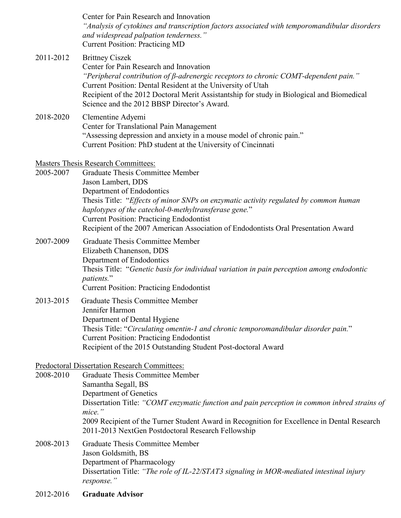|           | Center for Pain Research and Innovation<br>"Analysis of cytokines and transcription factors associated with temporomandibular disorders<br>and widespread palpation tenderness."<br><b>Current Position: Practicing MD</b>                                                                                                                                                 |
|-----------|----------------------------------------------------------------------------------------------------------------------------------------------------------------------------------------------------------------------------------------------------------------------------------------------------------------------------------------------------------------------------|
| 2011-2012 | <b>Brittney Ciszek</b><br>Center for Pain Research and Innovation<br>"Peripheral contribution of $\beta$ -adrenergic receptors to chronic COMT-dependent pain."<br>Current Position: Dental Resident at the University of Utah<br>Recipient of the 2012 Doctoral Merit Assistantship for study in Biological and Biomedical<br>Science and the 2012 BBSP Director's Award. |
| 2018-2020 | Clementine Adyemi<br>Center for Translational Pain Management<br>"Assessing depression and anxiety in a mouse model of chronic pain."<br>Current Position: PhD student at the University of Cincinnati                                                                                                                                                                     |
|           | Masters Thesis Research Committees:                                                                                                                                                                                                                                                                                                                                        |
| 2005-2007 | <b>Graduate Thesis Committee Member</b>                                                                                                                                                                                                                                                                                                                                    |
|           | Jason Lambert, DDS                                                                                                                                                                                                                                                                                                                                                         |
|           | Department of Endodontics<br>Thesis Title: "Effects of minor SNPs on enzymatic activity regulated by common human<br>haplotypes of the catechol-0-methyltransferase gene."<br><b>Current Position: Practicing Endodontist</b>                                                                                                                                              |
|           | Recipient of the 2007 American Association of Endodontists Oral Presentation Award                                                                                                                                                                                                                                                                                         |
| 2007-2009 | <b>Graduate Thesis Committee Member</b><br>Elizabeth Chanenson, DDS<br>Department of Endodontics<br>Thesis Title: "Genetic basis for individual variation in pain perception among endodontic<br>patients."<br><b>Current Position: Practicing Endodontist</b>                                                                                                             |
| 2013-2015 | <b>Graduate Thesis Committee Member</b>                                                                                                                                                                                                                                                                                                                                    |
|           | Jennifer Harmon                                                                                                                                                                                                                                                                                                                                                            |
|           | Department of Dental Hygiene                                                                                                                                                                                                                                                                                                                                               |
|           | Thesis Title: "Circulating omentin-1 and chronic temporomandibular disorder pain."                                                                                                                                                                                                                                                                                         |
|           | <b>Current Position: Practicing Endodontist</b><br>Recipient of the 2015 Outstanding Student Post-doctoral Award                                                                                                                                                                                                                                                           |
|           |                                                                                                                                                                                                                                                                                                                                                                            |
| 2008-2010 | Predoctoral Dissertation Research Committees:<br><b>Graduate Thesis Committee Member</b>                                                                                                                                                                                                                                                                                   |
|           | Samantha Segall, BS                                                                                                                                                                                                                                                                                                                                                        |
|           | Department of Genetics                                                                                                                                                                                                                                                                                                                                                     |
|           | Dissertation Title: "COMT enzymatic function and pain perception in common inbred strains of                                                                                                                                                                                                                                                                               |
|           | mice."<br>2009 Recipient of the Turner Student Award in Recognition for Excellence in Dental Research<br>2011-2013 NextGen Postdoctoral Research Fellowship                                                                                                                                                                                                                |
| 2008-2013 | <b>Graduate Thesis Committee Member</b>                                                                                                                                                                                                                                                                                                                                    |
|           | Jason Goldsmith, BS                                                                                                                                                                                                                                                                                                                                                        |
|           | Department of Pharmacology<br>Dissertation Title: "The role of IL-22/STAT3 signaling in MOR-mediated intestinal injury<br>response."                                                                                                                                                                                                                                       |
| 2012-2016 | <b>Graduate Advisor</b>                                                                                                                                                                                                                                                                                                                                                    |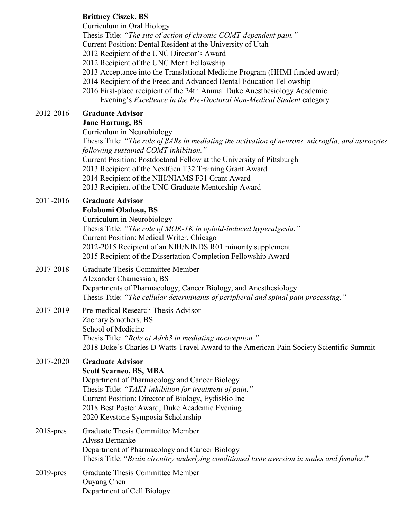### **Brittney Ciszek, BS**

Curriculum in Oral Biology

Thesis Title: *"The site of action of chronic COMT-dependent pain."*

Current Position: Dental Resident at the University of Utah

2012 Recipient of the UNC Director's Award

2012 Recipient of the UNC Merit Fellowship

- 2013 Acceptance into the Translational Medicine Program (HHMI funded award)
- 2014 Recipient of the Freedland Advanced Dental Education Fellowship
- 2016 First-place recipient of the 24th Annual Duke Anesthesiology Academic Evening's *Excellence in the Pre-Doctoral Non-Medical Student* category

## 2012-2016 **Graduate Advisor**

### **Jane Hartung, BS**

Curriculum in Neurobiology

Thesis Title: *"The role of βARs in mediating the activation of neurons, microglia, and astrocytes following sustained COMT inhibition."*

Current Position: Postdoctoral Fellow at the University of Pittsburgh

2013 Recipient of the NextGen T32 Training Grant Award

2014 Recipient of the NIH/NIAMS F31 Grant Award

2013 Recipient of the UNC Graduate Mentorship Award

## 2011-2016 **Graduate Advisor**

| Folabomi Oladosu, BS                                               |
|--------------------------------------------------------------------|
| Curriculum in Neurobiology                                         |
| Thesis Title: "The role of MOR-IK in opioid-induced hyperalgesia." |
| Current Position: Medical Writer, Chicago                          |
| 2012-2015 Recipient of an NIH/NINDS R01 minority supplement        |
| 2015 Recipient of the Dissertation Completion Fellowship Award     |

#### 2017-2018 Graduate Thesis Committee Member Alexander Chamessian, BS Departments of Pharmacology, Cancer Biology, and Anesthesiology Thesis Title: *"The cellular determinants of peripheral and spinal pain processing."*

### 2017-2019 Pre-medical Research Thesis Advisor Zachary Smothers, BS School of Medicine Thesis Title: *"Role of Adrb3 in mediating nociception."* 2018 Duke's Charles D Watts Travel Award to the American Pain Society Scientific Summit

# 2017-2020 **Graduate Advisor**

### **Scott Scarneo, BS, MBA**

Department of Pharmacology and Cancer Biology Thesis Title: *"TAK1 inhibition for treatment of pain."* Current Position: Director of Biology, EydisBio Inc 2018 Best Poster Award, Duke Academic Evening 2020 Keystone Symposia Scholarship

## 2018-pres Graduate Thesis Committee Member Alyssa Bernanke Department of Pharmacology and Cancer Biology Thesis Title: "*Brain circuitry underlying conditioned taste aversion in males and females*."

2019-pres Graduate Thesis Committee Member Ouyang Chen Department of Cell Biology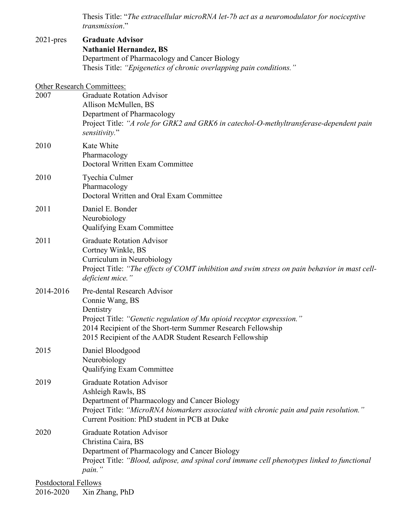Thesis Title: "*The extracellular microRNA let-7b act as a neuromodulator for nociceptive transmission*."

| $2021$ -pres                | <b>Graduate Advisor</b><br><b>Nathaniel Hernandez, BS</b><br>Department of Pharmacology and Cancer Biology<br>Thesis Title: "Epigenetics of chronic overlapping pain conditions."                                                                             |  |  |
|-----------------------------|---------------------------------------------------------------------------------------------------------------------------------------------------------------------------------------------------------------------------------------------------------------|--|--|
| 2007                        | <b>Other Research Committees:</b><br><b>Graduate Rotation Advisor</b><br>Allison McMullen, BS<br>Department of Pharmacology<br>Project Title: "A role for GRK2 and GRK6 in catechol-O-methyltransferase-dependent pain<br>sensitivity."                       |  |  |
| 2010                        | Kate White<br>Pharmacology<br>Doctoral Written Exam Committee                                                                                                                                                                                                 |  |  |
| 2010                        | Tyechia Culmer<br>Pharmacology<br>Doctoral Written and Oral Exam Committee                                                                                                                                                                                    |  |  |
| 2011                        | Daniel E. Bonder<br>Neurobiology<br>Qualifying Exam Committee                                                                                                                                                                                                 |  |  |
| 2011                        | <b>Graduate Rotation Advisor</b><br>Cortney Winkle, BS<br>Curriculum in Neurobiology<br>Project Title: "The effects of COMT inhibition and swim stress on pain behavior in mast cell-<br>deficient mice."                                                     |  |  |
| 2014-2016                   | Pre-dental Research Advisor<br>Connie Wang, BS<br>Dentistry<br>Project Title: "Genetic regulation of Mu opioid receptor expression."<br>2014 Recipient of the Short-term Summer Research Fellowship<br>2015 Recipient of the AADR Student Research Fellowship |  |  |
| 2015                        | Daniel Bloodgood<br>Neurobiology<br><b>Qualifying Exam Committee</b>                                                                                                                                                                                          |  |  |
| 2019                        | <b>Graduate Rotation Advisor</b><br>Ashleigh Rawls, BS<br>Department of Pharmacology and Cancer Biology<br>Project Title: "MicroRNA biomarkers associated with chronic pain and pain resolution."<br>Current Position: PhD student in PCB at Duke             |  |  |
| 2020                        | <b>Graduate Rotation Advisor</b><br>Christina Caira, BS<br>Department of Pharmacology and Cancer Biology<br>Project Title: "Blood, adipose, and spinal cord immune cell phenotypes linked to functional<br>pain."                                             |  |  |
| <b>Postdoctoral Fellows</b> |                                                                                                                                                                                                                                                               |  |  |

2016-2020 Xin Zhang, PhD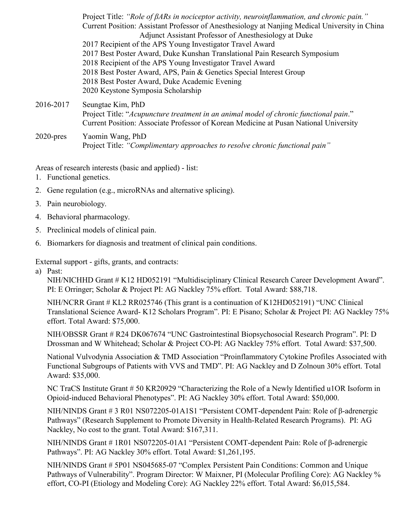|              | Project Title: "Role of $\beta ARs$ in nociceptor activity, neuroinflammation, and chronic pain."<br>Current Position: Assistant Professor of Anesthesiology at Nanjing Medical University in China<br>Adjunct Assistant Professor of Anesthesiology at Duke<br>2017 Recipient of the APS Young Investigator Travel Award<br>2017 Best Poster Award, Duke Kunshan Translational Pain Research Symposium<br>2018 Recipient of the APS Young Investigator Travel Award<br>2018 Best Poster Award, APS, Pain & Genetics Special Interest Group<br>2018 Best Poster Award, Duke Academic Evening<br>2020 Keystone Symposia Scholarship |
|--------------|------------------------------------------------------------------------------------------------------------------------------------------------------------------------------------------------------------------------------------------------------------------------------------------------------------------------------------------------------------------------------------------------------------------------------------------------------------------------------------------------------------------------------------------------------------------------------------------------------------------------------------|
| 2016-2017    | Seungtae Kim, PhD<br>Project Title: "Acupuncture treatment in an animal model of chronic functional pain."<br>Current Position: Associate Professor of Korean Medicine at Pusan National University                                                                                                                                                                                                                                                                                                                                                                                                                                |
| $2020$ -pres | Yaomin Wang, PhD<br>Project Title: "Complimentary approaches to resolve chronic functional pain"                                                                                                                                                                                                                                                                                                                                                                                                                                                                                                                                   |

Areas of research interests (basic and applied) - list:

- 1. Functional genetics.
- 2. Gene regulation (e.g., microRNAs and alternative splicing).
- 3. Pain neurobiology.
- 4. Behavioral pharmacology.
- 5. Preclinical models of clinical pain.
- 6. Biomarkers for diagnosis and treatment of clinical pain conditions.

External support - gifts, grants, and contracts:

a) Past:

NIH/NICHHD Grant # K12 HD052191 "Multidisciplinary Clinical Research Career Development Award". PI: E Orringer; Scholar & Project PI: AG Nackley 75% effort. Total Award: \$88,718.

NIH/NCRR Grant # KL2 RR025746 (This grant is a continuation of K12HD052191) "UNC Clinical Translational Science Award- K12 Scholars Program". PI: E Pisano; Scholar & Project PI: AG Nackley 75% effort. Total Award: \$75,000.

NIH/OBSSR Grant # R24 DK067674 "UNC Gastrointestinal Biopsychosocial Research Program". PI: D Drossman and W Whitehead; Scholar & Project CO-PI: AG Nackley 75% effort. Total Award: \$37,500.

National Vulvodynia Association & TMD Association "Proinflammatory Cytokine Profiles Associated with Functional Subgroups of Patients with VVS and TMD". PI: AG Nackley and D Zolnoun 30% effort. Total Award: \$35,000.

NC TraCS Institute Grant # 50 KR20929 "Characterizing the Role of a Newly Identified u1OR Isoform in Opioid-induced Behavioral Phenotypes". PI: AG Nackley 30% effort. Total Award: \$50,000.

NIH/NINDS Grant # 3 R01 NS072205-01A1S1 "Persistent COMT-dependent Pain: Role of β-adrenergic Pathways" (Research Supplement to Promote Diversity in Health-Related Research Programs). PI: AG Nackley, No cost to the grant. Total Award: \$167,311.

NIH/NINDS Grant # 1R01 NS072205-01A1 "Persistent COMT-dependent Pain: Role of β-adrenergic Pathways". PI: AG Nackley 30% effort. Total Award: \$1,261,195.

NIH/NINDS Grant # 5P01 NS045685-07 "Complex Persistent Pain Conditions: Common and Unique Pathways of Vulnerability". Program Director: W Maixner, PI (Molecular Profiling Core): AG Nackley % effort, CO-PI (Etiology and Modeling Core): AG Nackley 22% effort. Total Award: \$6,015,584.